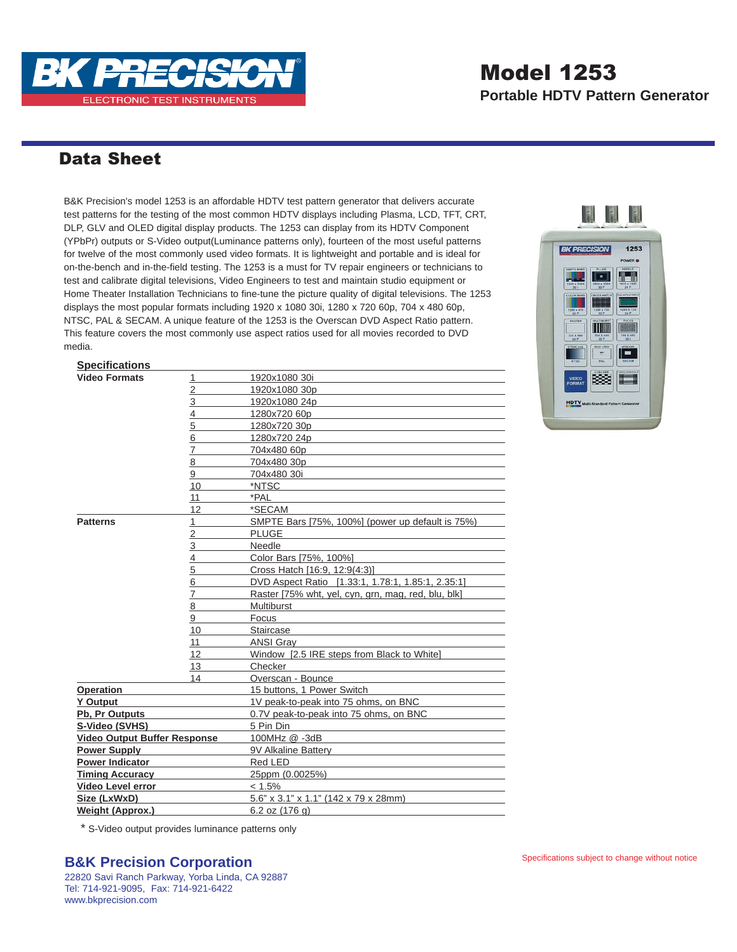

# Model 1253

**Portable HDTV Pattern Generator**

### Data Sheet

B&K Precision's model 1253 is an affordable HDTV test pattern generator that delivers accurate test patterns for the testing of the most common HDTV displays including Plasma, LCD, TFT, CRT, DLP, GLV and OLED digital display products. The 1253 can display from its HDTV Component (YPbPr) outputs or S-Video output(Luminance patterns only), fourteen of the most useful patterns for twelve of the most commonly used video formats. It is lightweight and portable and is ideal for on-the-bench and in-the-field testing. The 1253 is a must for TV repair engineers or technicians to test and calibrate digital televisions, Video Engineers to test and maintain studio equipment or Home Theater Installation Technicians to fine-tune the picture quality of digital televisions. The 1253 displays the most popular formats including 1920 x 1080 30i, 1280 x 720 60p, 704 x 480 60p, NTSC, PAL & SECAM. A unique feature of the 1253 is the Overscan DVD Aspect Ratio pattern. This feature covers the most commonly use aspect ratios used for all movies recorded to DVD media.



#### **Specifications**

| <b>Video Formats</b>                | <u>1</u>       | 1920x1080 30i                                       |
|-------------------------------------|----------------|-----------------------------------------------------|
|                                     | $\overline{2}$ | 1920x1080 30p                                       |
|                                     | 3              | 1920x1080 24p                                       |
|                                     | 4              | 1280x720 60p                                        |
|                                     | 5              | 1280x720 30p                                        |
|                                     | 6              | 1280x720 24p                                        |
|                                     | 7              | 704x480 60p                                         |
|                                     | 8              | 704x480 30p                                         |
|                                     | 9              | 704x480 30i                                         |
|                                     | 10             | *NTSC                                               |
|                                     | 11             | *PAL                                                |
|                                     | 12             | *SECAM                                              |
| <b>Patterns</b>                     | 1              | SMPTE Bars [75%, 100%] (power up default is 75%)    |
|                                     | 2              | <b>PLUGE</b>                                        |
|                                     | 3              | Needle                                              |
|                                     | 4              | Color Bars [75%, 100%]                              |
|                                     | 5              | Cross Hatch [16:9, 12:9(4:3)]                       |
|                                     | 6              | DVD Aspect Ratio [1.33:1, 1.78:1, 1.85:1, 2.35:1]   |
|                                     | 7              | Raster [75% wht, yel, cyn, grn, mag, red, blu, blk] |
|                                     | 8              | <b>Multiburst</b>                                   |
|                                     | 9              | Focus                                               |
|                                     | 10             | <b>Staircase</b>                                    |
|                                     | 11             | <b>ANSI Grav</b>                                    |
|                                     | 12             | Window [2.5 IRE steps from Black to White]          |
|                                     | 13             | Checker                                             |
|                                     | 14             | Overscan - Bounce                                   |
| <b>Operation</b>                    |                | 15 buttons. 1 Power Switch                          |
| <b>Y</b> Output                     |                | 1V peak-to-peak into 75 ohms, on BNC                |
| Pb, Pr Outputs                      |                | 0.7V peak-to-peak into 75 ohms, on BNC              |
| S-Video (SVHS)                      |                | 5 Pin Din                                           |
| <b>Video Output Buffer Response</b> |                | 100MHz @ -3dB                                       |
| <b>Power Supply</b>                 |                | 9V Alkaline Battery                                 |
| <b>Power Indicator</b>              |                | Red LED                                             |
| <b>Timing Accuracy</b>              |                | 25ppm (0.0025%)                                     |
| <b>Video Level error</b>            |                | $< 1.5\%$                                           |
| Size (LxWxD)                        |                | 5.6" x 3.1" x 1.1" (142 x 79 x 28mm)                |
| <b>Weight (Approx.)</b>             |                | 6.2 oz (176 g)                                      |

\* S-Video output provides luminance patterns only

#### **B&K Precision Corporation**

22820 Savi Ranch Parkway, Yorba Linda, CA 92887 Tel: 714-921-9095, Fax: 714-921-6422 www.bkprecision.com